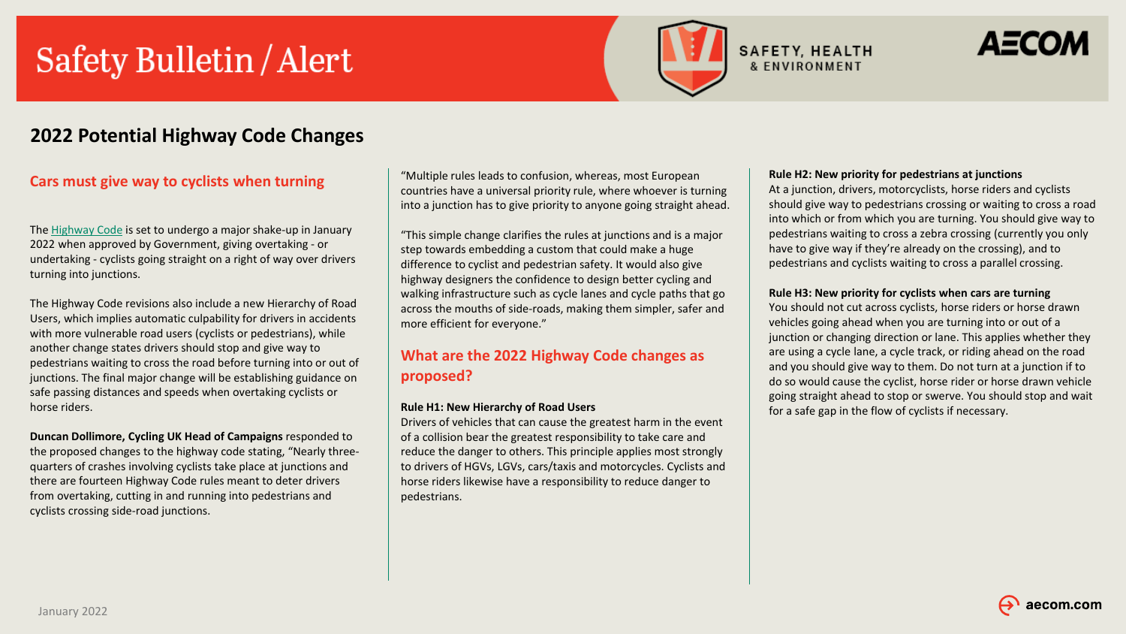# Safety Bulletin / Alert



# ДЕСОЛ

## **2022 Potential Highway Code Changes**

### **Cars must give way to cyclists when turning**

The [Highway Code](https://www.autoexpress.co.uk/car-news/first-cars/91515/the-highway-code-what-is-it-and-how-do-i-learn-it) is set to undergo a major shake-up in January 2022 when approved by Government, giving overtaking - or undertaking - cyclists going straight on a right of way over drivers turning into junctions.

The Highway Code revisions also include a new Hierarchy of Road Users, which implies automatic culpability for drivers in accidents with more vulnerable road users (cyclists or pedestrians), while another change states drivers should stop and give way to pedestrians waiting to cross the road before turning into or out of junctions. The final major change will be establishing guidance on safe passing distances and speeds when overtaking cyclists or horse riders.

#### **Duncan Dollimore, Cycling UK Head of Campaigns** responded to the proposed changes to the highway code stating, "Nearly threequarters of crashes involving cyclists take place at junctions and there are fourteen Highway Code rules meant to deter drivers from overtaking, cutting in and running into pedestrians and cyclists crossing side-road junctions.

"Multiple rules leads to confusion, whereas, most European countries have a universal priority rule, where whoever is turning into a junction has to give priority to anyone going straight ahead.

"This simple change clarifies the rules at junctions and is a major step towards embedding a custom that could make a huge difference to cyclist and pedestrian safety. It would also give highway designers the confidence to design better cycling and walking infrastructure such as cycle lanes and cycle paths that go across the mouths of side-roads, making them simpler, safer and more efficient for everyone."

## **What are the 2022 Highway Code changes as proposed?**

#### **Rule H1: New Hierarchy of Road Users**

Drivers of vehicles that can cause the greatest harm in the event of a collision bear the greatest responsibility to take care and reduce the danger to others. This principle applies most strongly to drivers of HGVs, LGVs, cars/taxis and motorcycles. Cyclists and horse riders likewise have a responsibility to reduce danger to pedestrians.

#### **Rule H2: New priority for pedestrians at junctions**

At a junction, drivers, motorcyclists, horse riders and cyclists should give way to pedestrians crossing or waiting to cross a road into which or from which you are turning. You should give way to pedestrians waiting to cross a zebra crossing (currently you only have to give way if they're already on the crossing), and to pedestrians and cyclists waiting to cross a parallel crossing.

#### **Rule H3: New priority for cyclists when cars are turning**

You should not cut across cyclists, horse riders or horse drawn vehicles going ahead when you are turning into or out of a junction or changing direction or lane. This applies whether they are using a cycle lane, a cycle track, or riding ahead on the road and you should give way to them. Do not turn at a junction if to do so would cause the cyclist, horse rider or horse drawn vehicle going straight ahead to stop or swerve. You should stop and wait for a safe gap in the flow of cyclists if necessary.